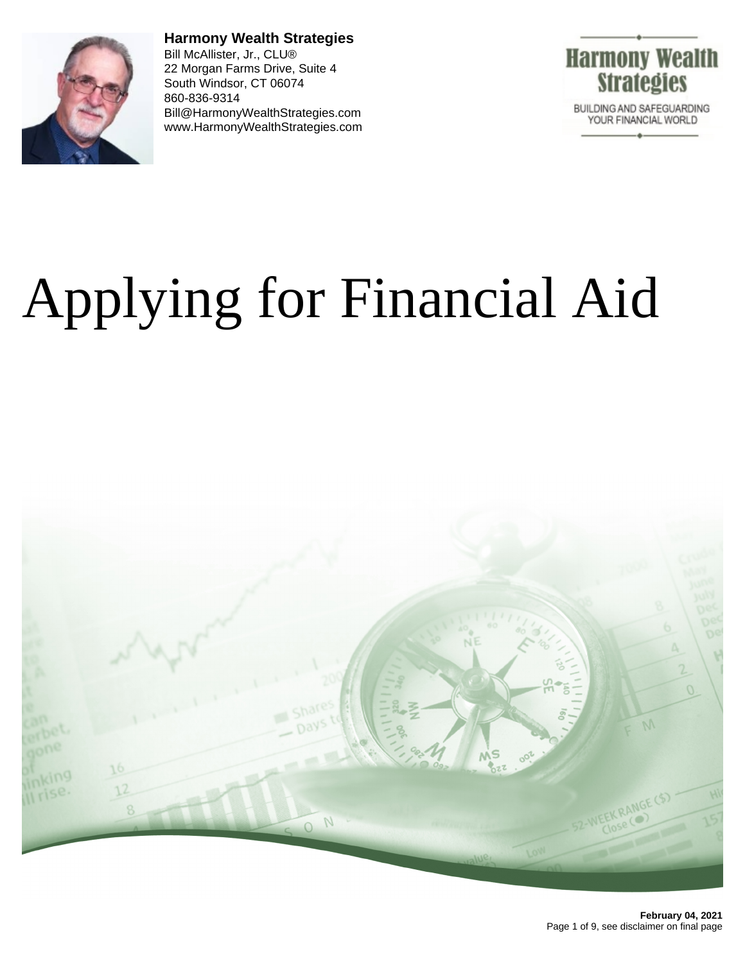

**Harmony Wealth Strategies** Bill McAllister, Jr., CLU® 22 Morgan Farms Drive, Suite 4 South Windsor, CT 06074 860-836-9314 Bill@HarmonyWealthStrategies.com www.HarmonyWealthStrategies.com



# Applying for Financial Aid

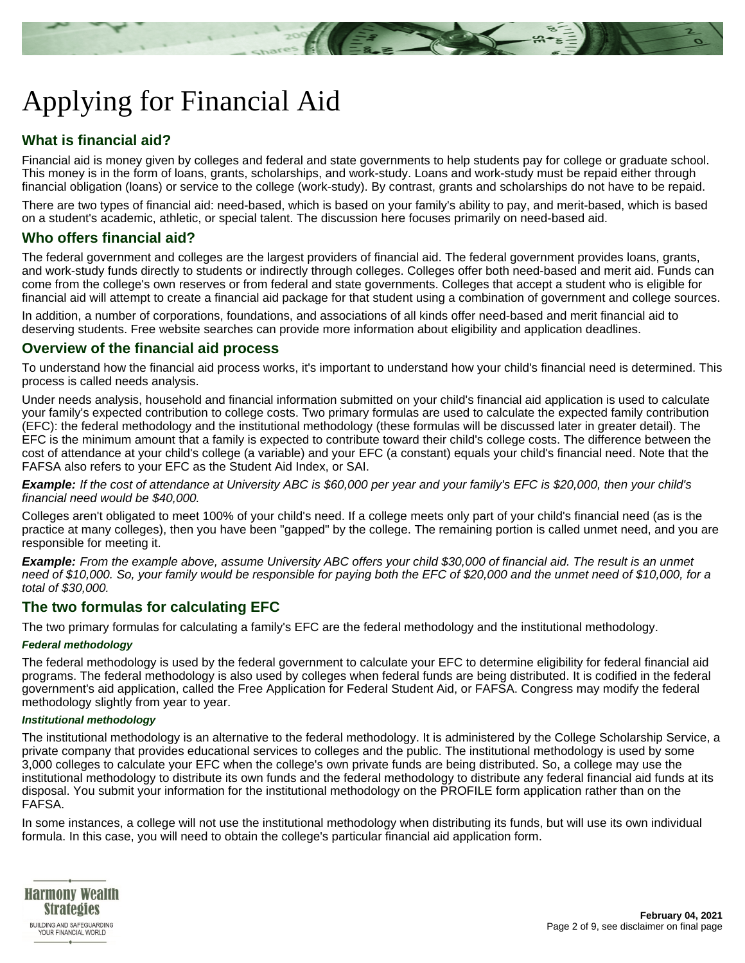# Applying for Financial Aid

# **What is financial aid?**

Financial aid is money given by colleges and federal and state governments to help students pay for college or graduate school. This money is in the form of loans, grants, scholarships, and work-study. Loans and work-study must be repaid either through financial obligation (loans) or service to the college (work-study). By contrast, grants and scholarships do not have to be repaid.

There are two types of financial aid: need-based, which is based on your family's ability to pay, and merit-based, which is based on a student's academic, athletic, or special talent. The discussion here focuses primarily on need-based aid.

# **Who offers financial aid?**

The federal government and colleges are the largest providers of financial aid. The federal government provides loans, grants, and work-study funds directly to students or indirectly through colleges. Colleges offer both need-based and merit aid. Funds can come from the college's own reserves or from federal and state governments. Colleges that accept a student who is eligible for financial aid will attempt to create a financial aid package for that student using a combination of government and college sources.

In addition, a number of corporations, foundations, and associations of all kinds offer need-based and merit financial aid to deserving students. Free website searches can provide more information about eligibility and application deadlines.

# **Overview of the financial aid process**

To understand how the financial aid process works, it's important to understand how your child's financial need is determined. This process is called needs analysis.

Under needs analysis, household and financial information submitted on your child's financial aid application is used to calculate your family's expected contribution to college costs. Two primary formulas are used to calculate the expected family contribution (EFC): the federal methodology and the institutional methodology (these formulas will be discussed later in greater detail). The EFC is the minimum amount that a family is expected to contribute toward their child's college costs. The difference between the cost of attendance at your child's college (a variable) and your EFC (a constant) equals your child's financial need. Note that the FAFSA also refers to your EFC as the Student Aid Index, or SAI.

**Example:** If the cost of attendance at University ABC is \$60,000 per year and your family's EFC is \$20,000, then your child's financial need would be \$40,000.

Colleges aren't obligated to meet 100% of your child's need. If a college meets only part of your child's financial need (as is the practice at many colleges), then you have been "gapped" by the college. The remaining portion is called unmet need, and you are responsible for meeting it.

**Example:** From the example above, assume University ABC offers your child \$30,000 of financial aid. The result is an unmet need of \$10,000. So, your family would be responsible for paying both the EFC of \$20,000 and the unmet need of \$10,000, for a total of \$30,000.

# **The two formulas for calculating EFC**

The two primary formulas for calculating a family's EFC are the federal methodology and the institutional methodology.

#### **Federal methodology**

The federal methodology is used by the federal government to calculate your EFC to determine eligibility for federal financial aid programs. The federal methodology is also used by colleges when federal funds are being distributed. It is codified in the federal government's aid application, called the Free Application for Federal Student Aid, or FAFSA. Congress may modify the federal methodology slightly from year to year.

#### **Institutional methodology**

The institutional methodology is an alternative to the federal methodology. It is administered by the College Scholarship Service, a private company that provides educational services to colleges and the public. The institutional methodology is used by some 3,000 colleges to calculate your EFC when the college's own private funds are being distributed. So, a college may use the institutional methodology to distribute its own funds and the federal methodology to distribute any federal financial aid funds at its disposal. You submit your information for the institutional methodology on the PROFILE form application rather than on the FAFSA.

In some instances, a college will not use the institutional methodology when distributing its funds, but will use its own individual formula. In this case, you will need to obtain the college's particular financial aid application form.

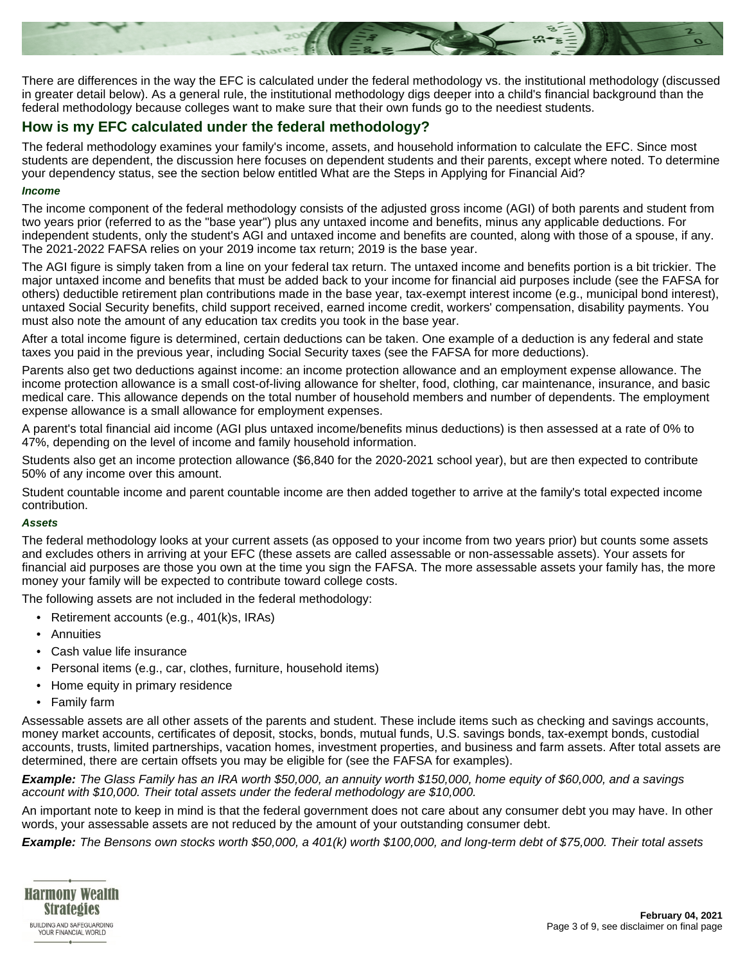

There are differences in the way the EFC is calculated under the federal methodology vs. the institutional methodology (discussed in greater detail below). As a general rule, the institutional methodology digs deeper into a child's financial background than the federal methodology because colleges want to make sure that their own funds go to the neediest students.

# **How is my EFC calculated under the federal methodology?**

The federal methodology examines your family's income, assets, and household information to calculate the EFC. Since most students are dependent, the discussion here focuses on dependent students and their parents, except where noted. To determine your dependency status, see the section below entitled What are the Steps in Applying for Financial Aid?

#### **Income**

The income component of the federal methodology consists of the adjusted gross income (AGI) of both parents and student from two years prior (referred to as the "base year") plus any untaxed income and benefits, minus any applicable deductions. For independent students, only the student's AGI and untaxed income and benefits are counted, along with those of a spouse, if any. The 2021-2022 FAFSA relies on your 2019 income tax return; 2019 is the base year.

The AGI figure is simply taken from a line on your federal tax return. The untaxed income and benefits portion is a bit trickier. The major untaxed income and benefits that must be added back to your income for financial aid purposes include (see the FAFSA for others) deductible retirement plan contributions made in the base year, tax-exempt interest income (e.g., municipal bond interest), untaxed Social Security benefits, child support received, earned income credit, workers' compensation, disability payments. You must also note the amount of any education tax credits you took in the base year.

After a total income figure is determined, certain deductions can be taken. One example of a deduction is any federal and state taxes you paid in the previous year, including Social Security taxes (see the FAFSA for more deductions).

Parents also get two deductions against income: an income protection allowance and an employment expense allowance. The income protection allowance is a small cost-of-living allowance for shelter, food, clothing, car maintenance, insurance, and basic medical care. This allowance depends on the total number of household members and number of dependents. The employment expense allowance is a small allowance for employment expenses.

A parent's total financial aid income (AGI plus untaxed income/benefits minus deductions) is then assessed at a rate of 0% to 47%, depending on the level of income and family household information.

Students also get an income protection allowance (\$6,840 for the 2020-2021 school year), but are then expected to contribute 50% of any income over this amount.

Student countable income and parent countable income are then added together to arrive at the family's total expected income contribution.

#### **Assets**

The federal methodology looks at your current assets (as opposed to your income from two years prior) but counts some assets and excludes others in arriving at your EFC (these assets are called assessable or non-assessable assets). Your assets for financial aid purposes are those you own at the time you sign the FAFSA. The more assessable assets your family has, the more money your family will be expected to contribute toward college costs.

The following assets are not included in the federal methodology:

- Retirement accounts (e.g., 401(k)s, IRAs)
- **Annuities**
- Cash value life insurance
- Personal items (e.g., car, clothes, furniture, household items)
- Home equity in primary residence
- Family farm

Assessable assets are all other assets of the parents and student. These include items such as checking and savings accounts, money market accounts, certificates of deposit, stocks, bonds, mutual funds, U.S. savings bonds, tax-exempt bonds, custodial accounts, trusts, limited partnerships, vacation homes, investment properties, and business and farm assets. After total assets are determined, there are certain offsets you may be eligible for (see the FAFSA for examples).

**Example:** The Glass Family has an IRA worth \$50,000, an annuity worth \$150,000, home equity of \$60,000, and a savings account with \$10,000. Their total assets under the federal methodology are \$10,000.

An important note to keep in mind is that the federal government does not care about any consumer debt you may have. In other words, your assessable assets are not reduced by the amount of your outstanding consumer debt.

**Example:** The Bensons own stocks worth \$50,000, a 401(k) worth \$100,000, and long-term debt of \$75,000. Their total assets

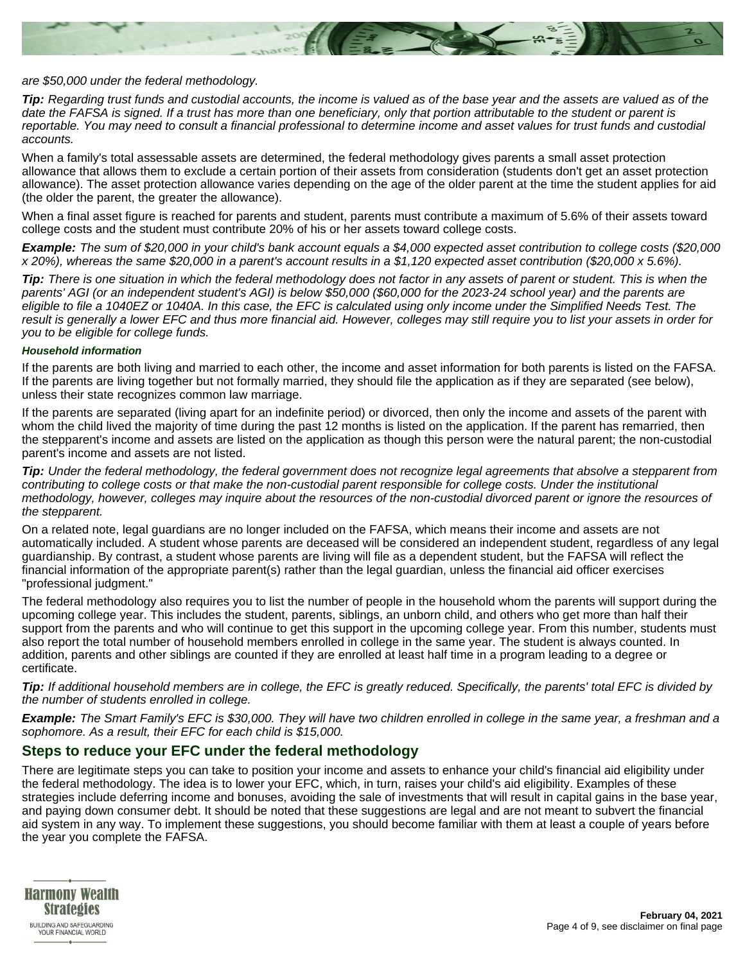

#### are \$50,000 under the federal methodology.

**Tip:** Regarding trust funds and custodial accounts, the income is valued as of the base year and the assets are valued as of the date the FAFSA is signed. If a trust has more than one beneficiary, only that portion attributable to the student or parent is reportable. You may need to consult a financial professional to determine income and asset values for trust funds and custodial accounts.

When a family's total assessable assets are determined, the federal methodology gives parents a small asset protection allowance that allows them to exclude a certain portion of their assets from consideration (students don't get an asset protection allowance). The asset protection allowance varies depending on the age of the older parent at the time the student applies for aid (the older the parent, the greater the allowance).

When a final asset figure is reached for parents and student, parents must contribute a maximum of 5.6% of their assets toward college costs and the student must contribute 20% of his or her assets toward college costs.

**Example:** The sum of \$20,000 in your child's bank account equals a \$4,000 expected asset contribution to college costs (\$20,000 x 20%), whereas the same \$20,000 in a parent's account results in a \$1,120 expected asset contribution (\$20,000 x 5.6%).

**Tip:** There is one situation in which the federal methodology does not factor in any assets of parent or student. This is when the parents' AGI (or an independent student's AGI) is below \$50,000 (\$60,000 for the 2023-24 school year) and the parents are eligible to file a 1040EZ or 1040A. In this case, the EFC is calculated using only income under the Simplified Needs Test. The result is generally a lower EFC and thus more financial aid. However, colleges may still require you to list your assets in order for you to be eligible for college funds.

#### **Household information**

If the parents are both living and married to each other, the income and asset information for both parents is listed on the FAFSA. If the parents are living together but not formally married, they should file the application as if they are separated (see below), unless their state recognizes common law marriage.

If the parents are separated (living apart for an indefinite period) or divorced, then only the income and assets of the parent with whom the child lived the majority of time during the past 12 months is listed on the application. If the parent has remarried, then the stepparent's income and assets are listed on the application as though this person were the natural parent; the non-custodial parent's income and assets are not listed.

**Tip:** Under the federal methodology, the federal government does not recognize legal agreements that absolve a stepparent from contributing to college costs or that make the non-custodial parent responsible for college costs. Under the institutional methodology, however, colleges may inquire about the resources of the non-custodial divorced parent or ignore the resources of the stepparent.

On a related note, legal guardians are no longer included on the FAFSA, which means their income and assets are not automatically included. A student whose parents are deceased will be considered an independent student, regardless of any legal guardianship. By contrast, a student whose parents are living will file as a dependent student, but the FAFSA will reflect the financial information of the appropriate parent(s) rather than the legal guardian, unless the financial aid officer exercises "professional judgment."

The federal methodology also requires you to list the number of people in the household whom the parents will support during the upcoming college year. This includes the student, parents, siblings, an unborn child, and others who get more than half their support from the parents and who will continue to get this support in the upcoming college year. From this number, students must also report the total number of household members enrolled in college in the same year. The student is always counted. In addition, parents and other siblings are counted if they are enrolled at least half time in a program leading to a degree or certificate.

**Tip:** If additional household members are in college, the EFC is greatly reduced. Specifically, the parents' total EFC is divided by the number of students enrolled in college.

**Example:** The Smart Family's EFC is \$30,000. They will have two children enrolled in college in the same year, a freshman and a sophomore. As a result, their EFC for each child is \$15,000.

# **Steps to reduce your EFC under the federal methodology**

There are legitimate steps you can take to position your income and assets to enhance your child's financial aid eligibility under the federal methodology. The idea is to lower your EFC, which, in turn, raises your child's aid eligibility. Examples of these strategies include deferring income and bonuses, avoiding the sale of investments that will result in capital gains in the base year, and paying down consumer debt. It should be noted that these suggestions are legal and are not meant to subvert the financial aid system in any way. To implement these suggestions, you should become familiar with them at least a couple of years before the year you complete the FAFSA.

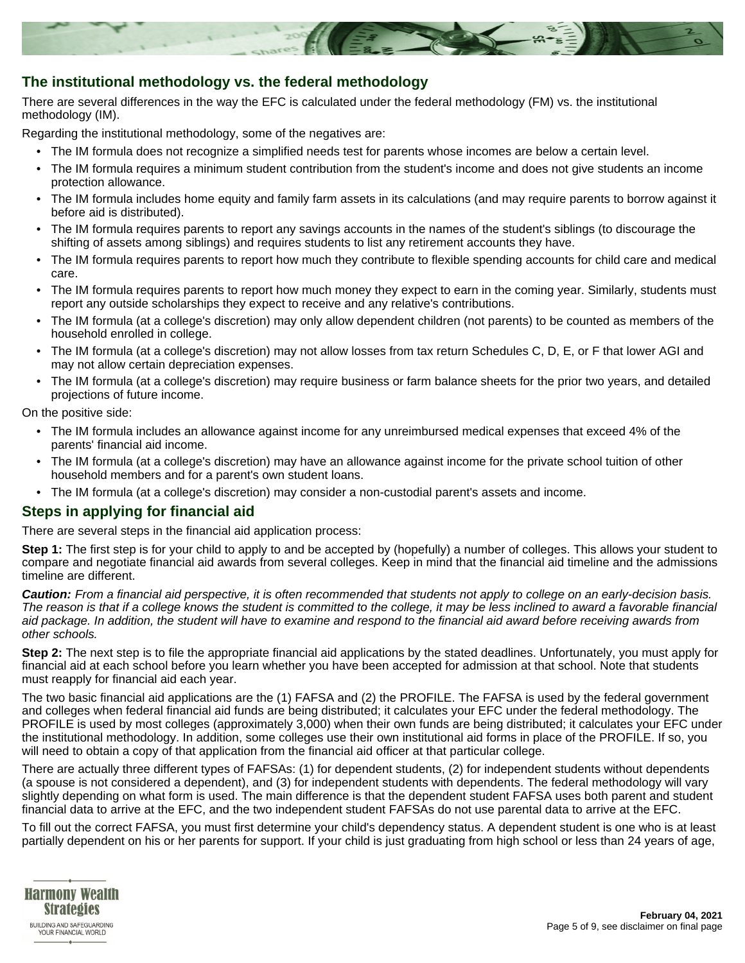

# **The institutional methodology vs. the federal methodology**

There are several differences in the way the EFC is calculated under the federal methodology (FM) vs. the institutional methodology (IM).

Regarding the institutional methodology, some of the negatives are:

- The IM formula does not recognize a simplified needs test for parents whose incomes are below a certain level.
- The IM formula requires a minimum student contribution from the student's income and does not give students an income protection allowance.
- The IM formula includes home equity and family farm assets in its calculations (and may require parents to borrow against it before aid is distributed).
- The IM formula requires parents to report any savings accounts in the names of the student's siblings (to discourage the shifting of assets among siblings) and requires students to list any retirement accounts they have.
- The IM formula requires parents to report how much they contribute to flexible spending accounts for child care and medical care.
- The IM formula requires parents to report how much money they expect to earn in the coming year. Similarly, students must report any outside scholarships they expect to receive and any relative's contributions.
- The IM formula (at a college's discretion) may only allow dependent children (not parents) to be counted as members of the household enrolled in college.
- The IM formula (at a college's discretion) may not allow losses from tax return Schedules C, D, E, or F that lower AGI and may not allow certain depreciation expenses.
- The IM formula (at a college's discretion) may require business or farm balance sheets for the prior two years, and detailed projections of future income.

On the positive side:

- The IM formula includes an allowance against income for any unreimbursed medical expenses that exceed 4% of the parents' financial aid income.
- The IM formula (at a college's discretion) may have an allowance against income for the private school tuition of other household members and for a parent's own student loans.
- The IM formula (at a college's discretion) may consider a non-custodial parent's assets and income.

# **Steps in applying for financial aid**

There are several steps in the financial aid application process:

**Step 1:** The first step is for your child to apply to and be accepted by (hopefully) a number of colleges. This allows your student to compare and negotiate financial aid awards from several colleges. Keep in mind that the financial aid timeline and the admissions timeline are different.

**Caution:** From a financial aid perspective, it is often recommended that students not apply to college on an early-decision basis. The reason is that if a college knows the student is committed to the college, it may be less inclined to award a favorable financial aid package. In addition, the student will have to examine and respond to the financial aid award before receiving awards from other schools.

**Step 2:** The next step is to file the appropriate financial aid applications by the stated deadlines. Unfortunately, you must apply for financial aid at each school before you learn whether you have been accepted for admission at that school. Note that students must reapply for financial aid each year.

The two basic financial aid applications are the (1) FAFSA and (2) the PROFILE. The FAFSA is used by the federal government and colleges when federal financial aid funds are being distributed; it calculates your EFC under the federal methodology. The PROFILE is used by most colleges (approximately 3,000) when their own funds are being distributed; it calculates your EFC under the institutional methodology. In addition, some colleges use their own institutional aid forms in place of the PROFILE. If so, you will need to obtain a copy of that application from the financial aid officer at that particular college.

There are actually three different types of FAFSAs: (1) for dependent students, (2) for independent students without dependents (a spouse is not considered a dependent), and (3) for independent students with dependents. The federal methodology will vary slightly depending on what form is used. The main difference is that the dependent student FAFSA uses both parent and student financial data to arrive at the EFC, and the two independent student FAFSAs do not use parental data to arrive at the EFC.

To fill out the correct FAFSA, you must first determine your child's dependency status. A dependent student is one who is at least partially dependent on his or her parents for support. If your child is just graduating from high school or less than 24 years of age,

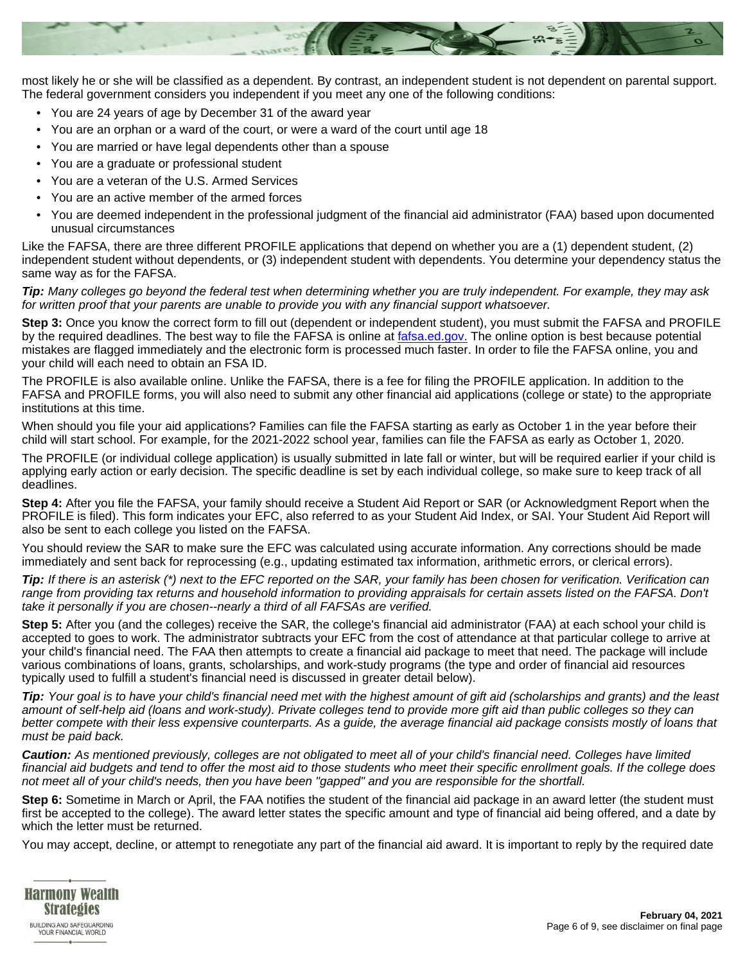

most likely he or she will be classified as a dependent. By contrast, an independent student is not dependent on parental support. The federal government considers you independent if you meet any one of the following conditions:

- You are 24 years of age by December 31 of the award year
- You are an orphan or a ward of the court, or were a ward of the court until age 18
- You are married or have legal dependents other than a spouse
- You are a graduate or professional student
- You are a veteran of the U.S. Armed Services
- You are an active member of the armed forces
- You are deemed independent in the professional judgment of the financial aid administrator (FAA) based upon documented unusual circumstances

Like the FAFSA, there are three different PROFILE applications that depend on whether you are a (1) dependent student, (2) independent student without dependents, or (3) independent student with dependents. You determine your dependency status the same way as for the FAFSA.

**Tip:** Many colleges go beyond the federal test when determining whether you are truly independent. For example, they may ask for written proof that your parents are unable to provide you with any financial support whatsoever.

**Step 3:** Once you know the correct form to fill out (dependent or independent student), you must submit the FAFSA and PROFILE by the required deadlines. The best way to file the FAFSA is online at [fafsa.ed.gov.](https://www.fafsa.ed.gov) The online option is best because potential mistakes are flagged immediately and the electronic form is processed much faster. In order to file the FAFSA online, you and your child will each need to obtain an FSA ID.

The PROFILE is also available online. Unlike the FAFSA, there is a fee for filing the PROFILE application. In addition to the FAFSA and PROFILE forms, you will also need to submit any other financial aid applications (college or state) to the appropriate institutions at this time.

When should you file your aid applications? Families can file the FAFSA starting as early as October 1 in the year before their child will start school. For example, for the 2021-2022 school year, families can file the FAFSA as early as October 1, 2020.

The PROFILE (or individual college application) is usually submitted in late fall or winter, but will be required earlier if your child is applying early action or early decision. The specific deadline is set by each individual college, so make sure to keep track of all deadlines.

**Step 4:** After you file the FAFSA, your family should receive a Student Aid Report or SAR (or Acknowledgment Report when the PROFILE is filed). This form indicates your EFC, also referred to as your Student Aid Index, or SAI. Your Student Aid Report will also be sent to each college you listed on the FAFSA.

You should review the SAR to make sure the EFC was calculated using accurate information. Any corrections should be made immediately and sent back for reprocessing (e.g., updating estimated tax information, arithmetic errors, or clerical errors).

**Tip:** If there is an asterisk (\*) next to the EFC reported on the SAR, your family has been chosen for verification. Verification can range from providing tax returns and household information to providing appraisals for certain assets listed on the FAFSA. Don't take it personally if you are chosen--nearly a third of all FAFSAs are verified.

**Step 5:** After you (and the colleges) receive the SAR, the college's financial aid administrator (FAA) at each school your child is accepted to goes to work. The administrator subtracts your EFC from the cost of attendance at that particular college to arrive at your child's financial need. The FAA then attempts to create a financial aid package to meet that need. The package will include various combinations of loans, grants, scholarships, and work-study programs (the type and order of financial aid resources typically used to fulfill a student's financial need is discussed in greater detail below).

**Tip:** Your goal is to have your child's financial need met with the highest amount of gift aid (scholarships and grants) and the least amount of self-help aid (loans and work-study). Private colleges tend to provide more gift aid than public colleges so they can better compete with their less expensive counterparts. As a guide, the average financial aid package consists mostly of loans that must be paid back.

**Caution:** As mentioned previously, colleges are not obligated to meet all of your child's financial need. Colleges have limited financial aid budgets and tend to offer the most aid to those students who meet their specific enrollment goals. If the college does not meet all of your child's needs, then you have been "gapped" and you are responsible for the shortfall.

**Step 6:** Sometime in March or April, the FAA notifies the student of the financial aid package in an award letter (the student must first be accepted to the college). The award letter states the specific amount and type of financial aid being offered, and a date by which the letter must be returned.

You may accept, decline, or attempt to renegotiate any part of the financial aid award. It is important to reply by the required date

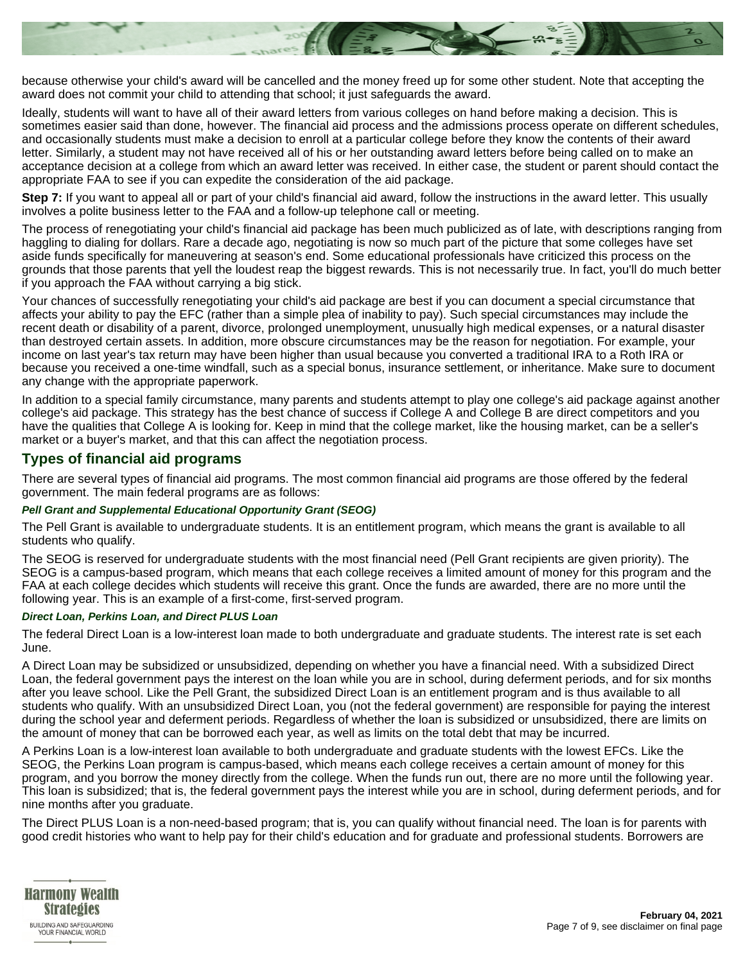

because otherwise your child's award will be cancelled and the money freed up for some other student. Note that accepting the award does not commit your child to attending that school; it just safeguards the award.

Ideally, students will want to have all of their award letters from various colleges on hand before making a decision. This is sometimes easier said than done, however. The financial aid process and the admissions process operate on different schedules, and occasionally students must make a decision to enroll at a particular college before they know the contents of their award letter. Similarly, a student may not have received all of his or her outstanding award letters before being called on to make an acceptance decision at a college from which an award letter was received. In either case, the student or parent should contact the appropriate FAA to see if you can expedite the consideration of the aid package.

**Step 7:** If you want to appeal all or part of your child's financial aid award, follow the instructions in the award letter. This usually involves a polite business letter to the FAA and a follow-up telephone call or meeting.

The process of renegotiating your child's financial aid package has been much publicized as of late, with descriptions ranging from haggling to dialing for dollars. Rare a decade ago, negotiating is now so much part of the picture that some colleges have set aside funds specifically for maneuvering at season's end. Some educational professionals have criticized this process on the grounds that those parents that yell the loudest reap the biggest rewards. This is not necessarily true. In fact, you'll do much better if you approach the FAA without carrying a big stick.

Your chances of successfully renegotiating your child's aid package are best if you can document a special circumstance that affects your ability to pay the EFC (rather than a simple plea of inability to pay). Such special circumstances may include the recent death or disability of a parent, divorce, prolonged unemployment, unusually high medical expenses, or a natural disaster than destroyed certain assets. In addition, more obscure circumstances may be the reason for negotiation. For example, your income on last year's tax return may have been higher than usual because you converted a traditional IRA to a Roth IRA or because you received a one-time windfall, such as a special bonus, insurance settlement, or inheritance. Make sure to document any change with the appropriate paperwork.

In addition to a special family circumstance, many parents and students attempt to play one college's aid package against another college's aid package. This strategy has the best chance of success if College A and College B are direct competitors and you have the qualities that College A is looking for. Keep in mind that the college market, like the housing market, can be a seller's market or a buyer's market, and that this can affect the negotiation process.

# **Types of financial aid programs**

There are several types of financial aid programs. The most common financial aid programs are those offered by the federal government. The main federal programs are as follows:

#### **Pell Grant and Supplemental Educational Opportunity Grant (SEOG)**

The Pell Grant is available to undergraduate students. It is an entitlement program, which means the grant is available to all students who qualify.

The SEOG is reserved for undergraduate students with the most financial need (Pell Grant recipients are given priority). The SEOG is a campus-based program, which means that each college receives a limited amount of money for this program and the FAA at each college decides which students will receive this grant. Once the funds are awarded, there are no more until the following year. This is an example of a first-come, first-served program.

#### **Direct Loan, Perkins Loan, and Direct PLUS Loan**

The federal Direct Loan is a low-interest loan made to both undergraduate and graduate students. The interest rate is set each June.

A Direct Loan may be subsidized or unsubsidized, depending on whether you have a financial need. With a subsidized Direct Loan, the federal government pays the interest on the loan while you are in school, during deferment periods, and for six months after you leave school. Like the Pell Grant, the subsidized Direct Loan is an entitlement program and is thus available to all students who qualify. With an unsubsidized Direct Loan, you (not the federal government) are responsible for paying the interest during the school year and deferment periods. Regardless of whether the loan is subsidized or unsubsidized, there are limits on the amount of money that can be borrowed each year, as well as limits on the total debt that may be incurred.

A Perkins Loan is a low-interest loan available to both undergraduate and graduate students with the lowest EFCs. Like the SEOG, the Perkins Loan program is campus-based, which means each college receives a certain amount of money for this program, and you borrow the money directly from the college. When the funds run out, there are no more until the following year. This loan is subsidized; that is, the federal government pays the interest while you are in school, during deferment periods, and for nine months after you graduate.

The Direct PLUS Loan is a non-need-based program; that is, you can qualify without financial need. The loan is for parents with good credit histories who want to help pay for their child's education and for graduate and professional students. Borrowers are

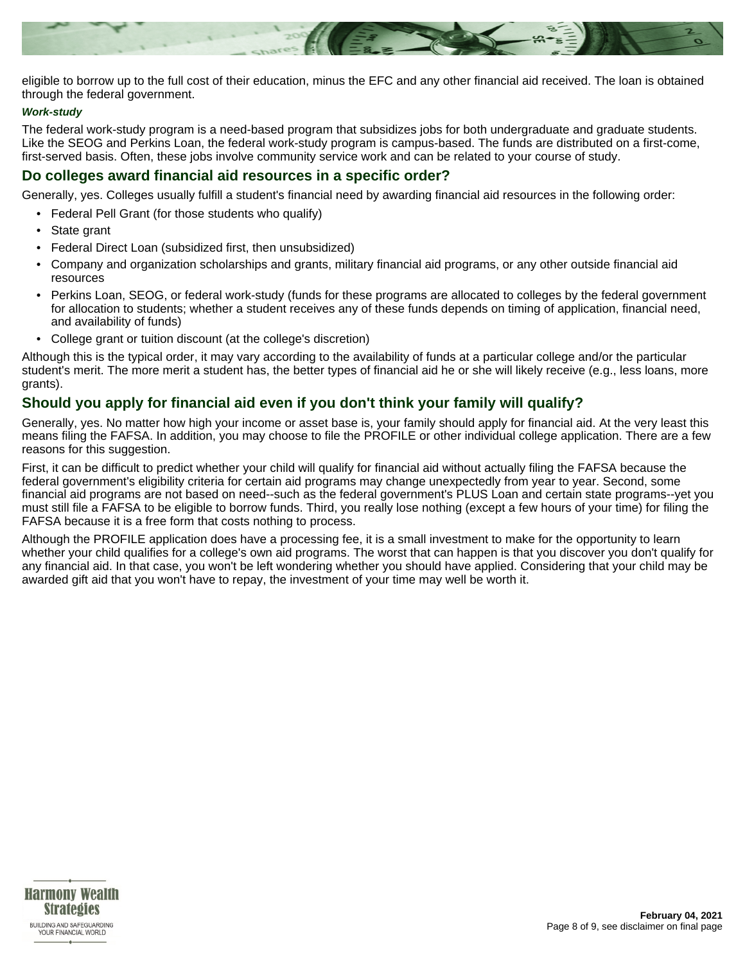

eligible to borrow up to the full cost of their education, minus the EFC and any other financial aid received. The loan is obtained through the federal government.

#### **Work-study**

The federal work-study program is a need-based program that subsidizes jobs for both undergraduate and graduate students. Like the SEOG and Perkins Loan, the federal work-study program is campus-based. The funds are distributed on a first-come, first-served basis. Often, these jobs involve community service work and can be related to your course of study.

### **Do colleges award financial aid resources in a specific order?**

Generally, yes. Colleges usually fulfill a student's financial need by awarding financial aid resources in the following order:

- Federal Pell Grant (for those students who qualify)
- State grant
- Federal Direct Loan (subsidized first, then unsubsidized)
- Company and organization scholarships and grants, military financial aid programs, or any other outside financial aid resources
- Perkins Loan, SEOG, or federal work-study (funds for these programs are allocated to colleges by the federal government for allocation to students; whether a student receives any of these funds depends on timing of application, financial need, and availability of funds)
- College grant or tuition discount (at the college's discretion)

Although this is the typical order, it may vary according to the availability of funds at a particular college and/or the particular student's merit. The more merit a student has, the better types of financial aid he or she will likely receive (e.g., less loans, more grants).

# **Should you apply for financial aid even if you don't think your family will qualify?**

Generally, yes. No matter how high your income or asset base is, your family should apply for financial aid. At the very least this means filing the FAFSA. In addition, you may choose to file the PROFILE or other individual college application. There are a few reasons for this suggestion.

First, it can be difficult to predict whether your child will qualify for financial aid without actually filing the FAFSA because the federal government's eligibility criteria for certain aid programs may change unexpectedly from year to year. Second, some financial aid programs are not based on need--such as the federal government's PLUS Loan and certain state programs--yet you must still file a FAFSA to be eligible to borrow funds. Third, you really lose nothing (except a few hours of your time) for filing the FAFSA because it is a free form that costs nothing to process.

Although the PROFILE application does have a processing fee, it is a small investment to make for the opportunity to learn whether your child qualifies for a college's own aid programs. The worst that can happen is that you discover you don't qualify for any financial aid. In that case, you won't be left wondering whether you should have applied. Considering that your child may be awarded gift aid that you won't have to repay, the investment of your time may well be worth it.